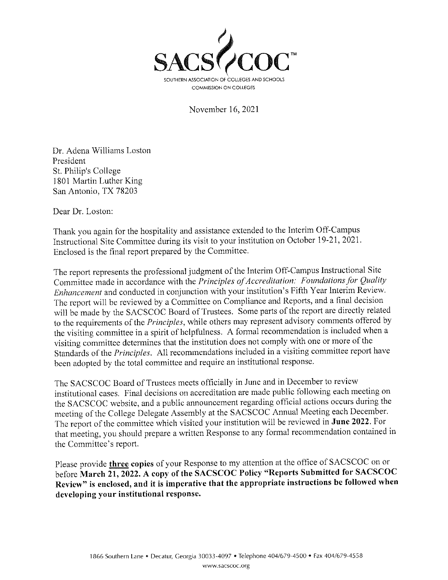

November 16, 2021

Dr. Adena Williams Loston President St. Philip's College 1801 Martin Luther King San Antonio, TX 78203

Dear Dr. Loston:

Thank you again for the hospitality and assistance extended to the Interim Off-Campus Instructional Site Committee during its visit to your institution on October 19-21, 2021. Enclosed is the final report prepared by the Committee.

The report represents the professional judgment of the Interim Off-Campus Instructional Site Committee made in accordance with the Principles of Accreditation: Foundations for Quality Enhancement and conducted in conjunction with your institution's Fifth Year Interim Review. The report will be reviewed by a Committee on Compliance and Reports, and a final decision will be made by the SACSCOC Board of Trustees. Some parts of the report are directly related to the requirements of the Principles, while others may represent advisory comments offered by the visiting committee in a spirit of helpfulness. A formal recommendation is included when a visiting committee determines that the institution does not comply with one or more of the Standards of the Principles. All recommendations included in a visiting committee report have been adopted by the total committee and require an institutional response.

The SACSCOC Board of Trustees meets officially in June and in December to review institutional cases. Final decisions on accreditation are made public following each meeting on the SACSCOC website, and a public announcement regarding official actions occurs during the meeting of the College Delegate Assembly at the SACSCOC Annual Meeting each December. The report of the committee which visited your institution will be reviewed in June 2022. For that meeting, you should prepare a written Response to any formal recommendation contained in the Committee's report.

Please provide three copies of your Response to my attention at the office of SACSCOC on or before March 21, 2022. A copy of the SACSCOC Policy "Reports Submitted for SACSCOC Review" is enclosed, and it is imperative that the appropriate instructions be followed when developing your institutional response.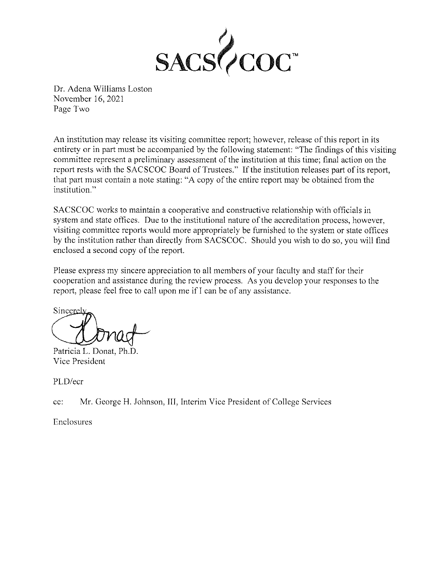

Dr. Adena Williams Loston November 16, 2021 Page Two

An institution may release its visiting committee report; however, release of this report in its entirety or in part must be accompanied by the following statement: "The findings of this visiting committee represent a preliminary assessment of the institution at this time; final action on the report rests with the SACSCOC Board of Trustees." If the institution releases part of its report, that part must contain a note stating: "A copy of the entire report may be obtained from the institution."

SACSCOC works to maintain a cooperative and constructive relationship with officials in system and state offices. Due to the institutional nature of the accreditation process, however, visiting committee reports would more appropriately be furnished to the system or state offices by the institution rather than directly from SACSCOC. Should you wish to do so, you will find enclosed a second copy of the report.

Please express my sincere appreciation to all members of your faculty and staff for their cooperation and assistance during the review process. As you develop your responses to the report, please feel free to call upon me if I can be of any assistance.

Sincerel

Patricia L. Donat, Ph.D. Vice President

PLD/ecr

ec: Mr. George H. Johnson, III, Interim Vice President of College Services

Enclosures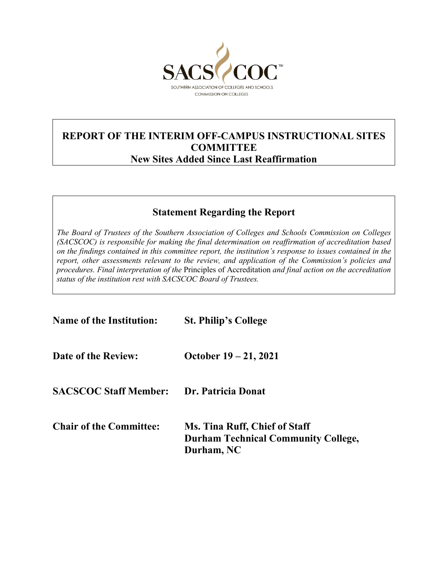

## **REPORT OF THE INTERIM OFF-CAMPUS INSTRUCTIONAL SITES COMMITTEE New Sites Added Since Last Reaffirmation**

# **Statement Regarding the Report**

*The Board of Trustees of the Southern Association of Colleges and Schools Commission on Colleges (SACSCOC) is responsible for making the final determination on reaffirmation of accreditation based on the findings contained in this committee report, the institution's response to issues contained in the report, other assessments relevant to the review, and application of the Commission's policies and procedures. Final interpretation of the* Principles of Accreditation *and final action on the accreditation status of the institution rest with SACSCOC Board of Trustees.*

| <b>Name of the Institution:</b> | <b>St. Philip's College</b>                                                                      |  |  |  |
|---------------------------------|--------------------------------------------------------------------------------------------------|--|--|--|
| Date of the Review:             | October $19 - 21, 2021$                                                                          |  |  |  |
| <b>SACSCOC Staff Member:</b>    | Dr. Patricia Donat                                                                               |  |  |  |
| <b>Chair of the Committee:</b>  | <b>Ms. Tina Ruff, Chief of Staff</b><br><b>Durham Technical Community College,</b><br>Durham, NC |  |  |  |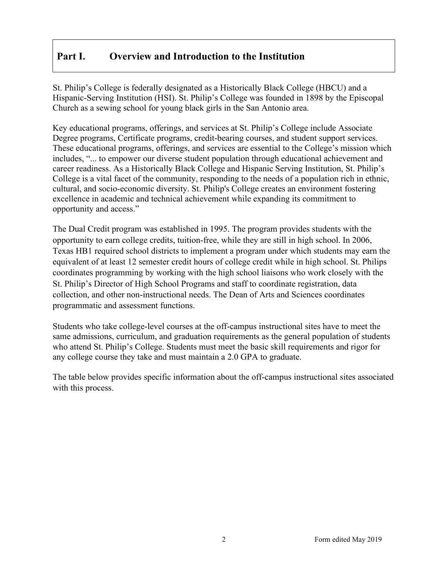## **Part I. Overview and Introduction to the Institution**

St. Philip's College is federally designated as a Historically Black College (HBCU) and a Hispanic-Serving Institution (HSI). St. Philip's College was founded in 1898 by the Episcopal Church as a sewing school for young black girls in the San Antonio area.

Key educational programs, offerings, and services at St. Philip's College include Associate Degree programs, Certificate programs, credit-bearing courses, and student support services. These educational programs, offerings, and services are essential to the College's mission which includes, "... to empower our diverse student population through educational achievement and career readiness. As a Historically Black College and Hispanic Serving Institution, St. Philip's College is a vital facet of the community, responding to the needs of a population rich in ethnic, cultural, and socio-economic diversity. St. Philip's College creates an environment fostering excellence in academic and technical achievement while expanding its commitment to opportunity and access."

The Dual Credit program was established in 1995. The program provides students with the opportunity to earn college credits, tuition-free, while they are still in high school. In 2006, Texas HB1 required school districts to implement a program under which students may earn the equivalent of at least 12 semester credit hours of college credit while in high school. St. Philips coordinates programming by working with the high school liaisons who work closely with the St. Philip's Director of High School Programs and staff to coordinate registration, data collection, and other non-instructional needs. The Dean of Arts and Sciences coordinates programmatic and assessment functions.

Students who take college-level courses at the off-campus instructional sites have to meet the same admissions, curriculum, and graduation requirements as the general population of students who attend St. Philip's College. Students must meet the basic skill requirements and rigor for any college course they take and must maintain a 2.0 GPA to graduate.

The table below provides specific information about the off-campus instructional sites associated with this process.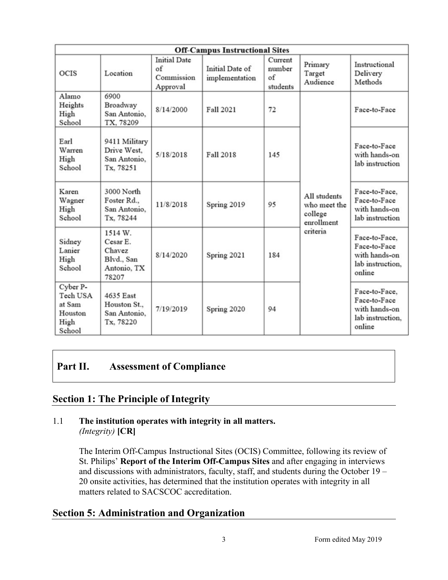| <b>Off-Campus Instructional Sites</b>                       |                                                                     |                                                     |                                   |                                     |                                                                   |                                                                              |  |  |
|-------------------------------------------------------------|---------------------------------------------------------------------|-----------------------------------------------------|-----------------------------------|-------------------------------------|-------------------------------------------------------------------|------------------------------------------------------------------------------|--|--|
| OCIS                                                        | Location                                                            | <b>Initial Date</b><br>of<br>Commission<br>Approval | Initial Date of<br>implementation | Current<br>number<br>of<br>students | Primary<br>Target<br>Audience                                     | Instructional<br>Delivery<br>Methods                                         |  |  |
| Alamo<br>Heights<br>High<br>School                          | 6900<br>Broadway<br>San Antonio.<br>TX, 78209                       | 8/14/2000                                           | Fall 2021                         | 72                                  | All students<br>who meet the<br>college<br>enrollment<br>criteria | Face-to-Face                                                                 |  |  |
| Earl<br>Warren<br>High<br>School                            | 9411 Military<br>Drive West.<br>San Antonio.<br>Tx, 78251           | 5/18/2018                                           | <b>Fall 2018</b>                  | 145                                 |                                                                   | Face-to-Face<br>with hands-on<br>lab instruction                             |  |  |
| Karen<br>Wagner<br>High<br>School                           | 3000 North<br>Foster Rd.,<br>San Antonio.<br>Tx, 78244              | 11/8/2018                                           | Spring 2019                       | 95                                  |                                                                   | Face-to-Face,<br>Face-to-Face<br>with hands-on<br>lab instruction            |  |  |
| Sidney<br>Lanier<br>High<br>School                          | 1514 W.<br>Cesar E.<br>Chavez<br>Blvd., San<br>Antonio, TX<br>78207 | 8/14/2020                                           | Spring 2021                       | 184                                 |                                                                   | Face-to-Face,<br>Face-to-Face<br>with hands-on<br>lab instruction,<br>online |  |  |
| Cyber P-<br>Tech USA<br>at Sam<br>Houston<br>High<br>School | 4635 East<br>Houston St.,<br>San Antonio.<br>Tx, 78220              | 7/19/2019                                           | Spring 2020                       | 94                                  |                                                                   | Face-to-Face,<br>Face-to-Face<br>with hands-on<br>lab instruction,<br>online |  |  |

### **Part II. Assessment of Compliance**

### **Section 1: The Principle of Integrity**

### 1.1 **The institution operates with integrity in all matters.** *(Integrity)* **[CR]**

The Interim Off-Campus Instructional Sites (OCIS) Committee, following its review of St. Philips' **Report of the Interim Off-Campus Sites** and after engaging in interviews and discussions with administrators, faculty, staff, and students during the October 19 – 20 onsite activities, has determined that the institution operates with integrity in all matters related to SACSCOC accreditation.

### **Section 5: Administration and Organization**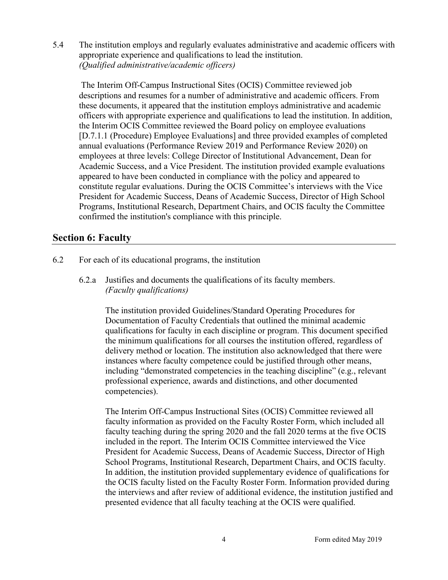5.4 The institution employs and regularly evaluates administrative and academic officers with appropriate experience and qualifications to lead the institution. *(Qualified administrative/academic officers)*

The Interim Off-Campus Instructional Sites (OCIS) Committee reviewed job descriptions and resumes for a number of administrative and academic officers. From these documents, it appeared that the institution employs administrative and academic officers with appropriate experience and qualifications to lead the institution. In addition, the Interim OCIS Committee reviewed the Board policy on employee evaluations [D.7.1.1 (Procedure) Employee Evaluations] and three provided examples of completed annual evaluations (Performance Review 2019 and Performance Review 2020) on employees at three levels: College Director of Institutional Advancement, Dean for Academic Success, and a Vice President. The institution provided example evaluations appeared to have been conducted in compliance with the policy and appeared to constitute regular evaluations. During the OCIS Committee's interviews with the Vice President for Academic Success, Deans of Academic Success, Director of High School Programs, Institutional Research, Department Chairs, and OCIS faculty the Committee confirmed the institution's compliance with this principle.

### **Section 6: Faculty**

- 6.2 For each of its educational programs, the institution
	- 6.2.a Justifies and documents the qualifications of its faculty members. *(Faculty qualifications)*

The institution provided Guidelines/Standard Operating Procedures for Documentation of Faculty Credentials that outlined the minimal academic qualifications for faculty in each discipline or program. This document specified the minimum qualifications for all courses the institution offered, regardless of delivery method or location. The institution also acknowledged that there were instances where faculty competence could be justified through other means, including "demonstrated competencies in the teaching discipline" (e.g., relevant professional experience, awards and distinctions, and other documented competencies).

The Interim Off-Campus Instructional Sites (OCIS) Committee reviewed all faculty information as provided on the Faculty Roster Form, which included all faculty teaching during the spring 2020 and the fall 2020 terms at the five OCIS included in the report. The Interim OCIS Committee interviewed the Vice President for Academic Success, Deans of Academic Success, Director of High School Programs, Institutional Research, Department Chairs, and OCIS faculty. In addition, the institution provided supplementary evidence of qualifications for the OCIS faculty listed on the Faculty Roster Form. Information provided during the interviews and after review of additional evidence, the institution justified and presented evidence that all faculty teaching at the OCIS were qualified.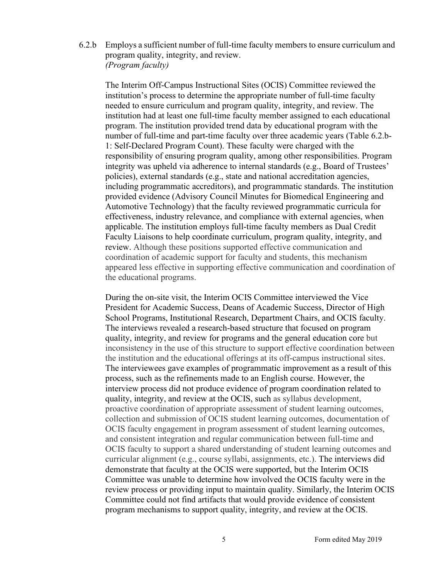6.2.b Employs a sufficient number of full-time faculty members to ensure curriculum and program quality, integrity, and review. *(Program faculty)*

The Interim Off-Campus Instructional Sites (OCIS) Committee reviewed the institution's process to determine the appropriate number of full-time faculty needed to ensure curriculum and program quality, integrity, and review. The institution had at least one full-time faculty member assigned to each educational program. The institution provided trend data by educational program with the number of full-time and part-time faculty over three academic years (Table 6.2.b-1: Self-Declared Program Count). These faculty were charged with the responsibility of ensuring program quality, among other responsibilities. Program integrity was upheld via adherence to internal standards (e.g., Board of Trustees' policies), external standards (e.g., state and national accreditation agencies, including programmatic accreditors), and programmatic standards. The institution provided evidence (Advisory Council Minutes for Biomedical Engineering and Automotive Technology) that the faculty reviewed programmatic curricula for effectiveness, industry relevance, and compliance with external agencies, when applicable. The institution employs full-time faculty members as Dual Credit Faculty Liaisons to help coordinate curriculum, program quality, integrity, and review. Although these positions supported effective communication and coordination of academic support for faculty and students, this mechanism appeared less effective in supporting effective communication and coordination of the educational programs.

During the on-site visit, the Interim OCIS Committee interviewed the Vice President for Academic Success, Deans of Academic Success, Director of High School Programs, Institutional Research, Department Chairs, and OCIS faculty. The interviews revealed a research-based structure that focused on program quality, integrity, and review for programs and the general education core but inconsistency in the use of this structure to support effective coordination between the institution and the educational offerings at its off-campus instructional sites. The interviewees gave examples of programmatic improvement as a result of this process, such as the refinements made to an English course. However, the interview process did not produce evidence of program coordination related to quality, integrity, and review at the OCIS, such as syllabus development, proactive coordination of appropriate assessment of student learning outcomes, collection and submission of OCIS student learning outcomes, documentation of OCIS faculty engagement in program assessment of student learning outcomes, and consistent integration and regular communication between full-time and OCIS faculty to support a shared understanding of student learning outcomes and curricular alignment (e.g., course syllabi, assignments, etc.). The interviews did demonstrate that faculty at the OCIS were supported, but the Interim OCIS Committee was unable to determine how involved the OCIS faculty were in the review process or providing input to maintain quality. Similarly, the Interim OCIS Committee could not find artifacts that would provide evidence of consistent program mechanisms to support quality, integrity, and review at the OCIS.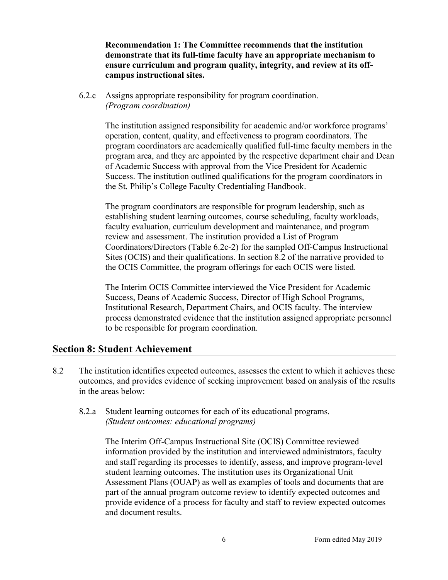**Recommendation 1: The Committee recommends that the institution demonstrate that its full-time faculty have an appropriate mechanism to ensure curriculum and program quality, integrity, and review at its offcampus instructional sites.**

6.2.c Assigns appropriate responsibility for program coordination. *(Program coordination)*

> The institution assigned responsibility for academic and/or workforce programs' operation, content, quality, and effectiveness to program coordinators. The program coordinators are academically qualified full-time faculty members in the program area, and they are appointed by the respective department chair and Dean of Academic Success with approval from the Vice President for Academic Success. The institution outlined qualifications for the program coordinators in the St. Philip's College Faculty Credentialing Handbook.

The program coordinators are responsible for program leadership, such as establishing student learning outcomes, course scheduling, faculty workloads, faculty evaluation, curriculum development and maintenance, and program review and assessment. The institution provided a List of Program Coordinators/Directors (Table 6.2c-2) for the sampled Off-Campus Instructional Sites (OCIS) and their qualifications. In section 8.2 of the narrative provided to the OCIS Committee, the program offerings for each OCIS were listed.

The Interim OCIS Committee interviewed the Vice President for Academic Success, Deans of Academic Success, Director of High School Programs, Institutional Research, Department Chairs, and OCIS faculty. The interview process demonstrated evidence that the institution assigned appropriate personnel to be responsible for program coordination.

#### **Section 8: Student Achievement**

- 8.2 The institution identifies expected outcomes, assesses the extent to which it achieves these outcomes, and provides evidence of seeking improvement based on analysis of the results in the areas below:
	- 8.2.a Student learning outcomes for each of its educational programs. *(Student outcomes: educational programs)*

The Interim Off-Campus Instructional Site (OCIS) Committee reviewed information provided by the institution and interviewed administrators, faculty and staff regarding its processes to identify, assess, and improve program-level student learning outcomes. The institution uses its Organizational Unit Assessment Plans (OUAP) as well as examples of tools and documents that are part of the annual program outcome review to identify expected outcomes and provide evidence of a process for faculty and staff to review expected outcomes and document results.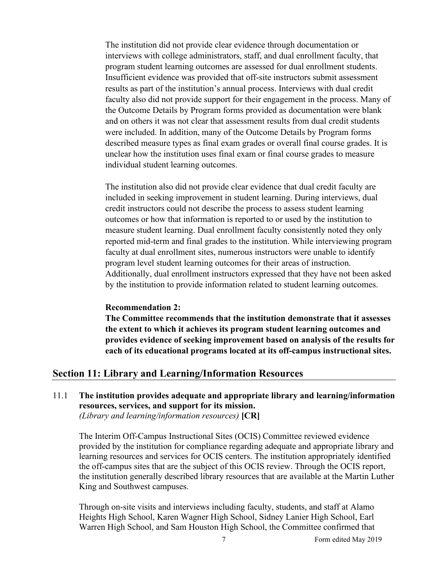The institution did not provide clear evidence through documentation or interviews with college administrators, staff, and dual enrollment faculty, that program student learning outcomes are assessed for dual enrollment students. Insufficient evidence was provided that off-site instructors submit assessment results as part of the institution's annual process. Interviews with dual credit faculty also did not provide support for their engagement in the process. Many of the Outcome Details by Program forms provided as documentation were blank and on others it was not clear that assessment results from dual credit students were included. In addition, many of the Outcome Details by Program forms described measure types as final exam grades or overall final course grades. It is unclear how the institution uses final exam or final course grades to measure individual student learning outcomes.

The institution also did not provide clear evidence that dual credit faculty are included in seeking improvement in student learning. During interviews, dual credit instructors could not describe the process to assess student learning outcomes or how that information is reported to or used by the institution to measure student learning. Dual enrollment faculty consistently noted they only reported mid-term and final grades to the institution. While interviewing program faculty at dual enrollment sites, numerous instructors were unable to identify program level student learning outcomes for their areas of instruction. Additionally, dual enrollment instructors expressed that they have not been asked by the institution to provide information related to student learning outcomes.

#### **Recommendation 2:**

**The Committee recommends that the institution demonstrate that it assesses the extent to which it achieves its program student learning outcomes and provides evidence of seeking improvement based on analysis of the results for each of its educational programs located at its off-campus instructional sites.**

#### **Section 11: Library and Learning/Information Resources**

### 11.1 **The institution provides adequate and appropriate library and learning/information resources, services, and support for its mission.**

*(Library and learning/information resources)* **[CR]**

The Interim Off-Campus Instructional Sites (OCIS) Committee reviewed evidence provided by the institution for compliance regarding adequate and appropriate library and learning resources and services for OCIS centers. The institution appropriately identified the off-campus sites that are the subject of this OCIS review. Through the OCIS report, the institution generally described library resources that are available at the Martin Luther King and Southwest campuses.

Through on-site visits and interviews including faculty, students, and staff at Alamo Heights High School, Karen Wagner High School, Sidney Lanier High School, Earl Warren High School, and Sam Houston High School, the Committee confirmed that

7 Form edited May 2019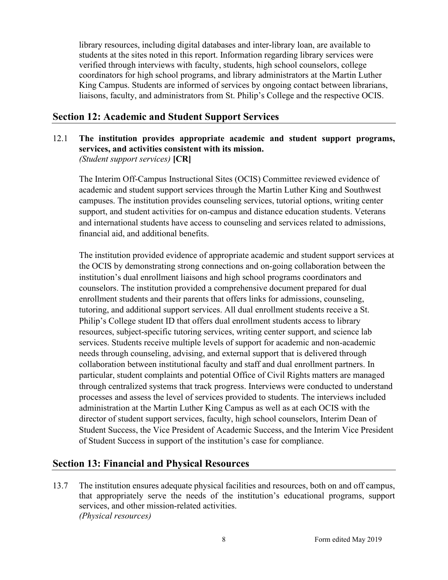library resources, including digital databases and inter-library loan, are available to students at the sites noted in this report. Information regarding library services were verified through interviews with faculty, students, high school counselors, college coordinators for high school programs, and library administrators at the Martin Luther King Campus. Students are informed of services by ongoing contact between librarians, liaisons, faculty, and administrators from St. Philip's College and the respective OCIS.

### **Section 12: Academic and Student Support Services**

### 12.1 **The institution provides appropriate academic and student support programs, services, and activities consistent with its mission.** *(Student support services)* **[CR]**

The Interim Off-Campus Instructional Sites (OCIS) Committee reviewed evidence of academic and student support services through the Martin Luther King and Southwest campuses. The institution provides counseling services, tutorial options, writing center support, and student activities for on-campus and distance education students. Veterans and international students have access to counseling and services related to admissions, financial aid, and additional benefits.

The institution provided evidence of appropriate academic and student support services at the OCIS by demonstrating strong connections and on-going collaboration between the institution's dual enrollment liaisons and high school programs coordinators and counselors. The institution provided a comprehensive document prepared for dual enrollment students and their parents that offers links for admissions, counseling, tutoring, and additional support services. All dual enrollment students receive a St. Philip's College student ID that offers dual enrollment students access to library resources, subject-specific tutoring services, writing center support, and science lab services. Students receive multiple levels of support for academic and non-academic needs through counseling, advising, and external support that is delivered through collaboration between institutional faculty and staff and dual enrollment partners. In particular, student complaints and potential Office of Civil Rights matters are managed through centralized systems that track progress. Interviews were conducted to understand processes and assess the level of services provided to students. The interviews included administration at the Martin Luther King Campus as well as at each OCIS with the director of student support services, faculty, high school counselors, Interim Dean of Student Success, the Vice President of Academic Success, and the Interim Vice President of Student Success in support of the institution's case for compliance.

### **Section 13: Financial and Physical Resources**

13.7 The institution ensures adequate physical facilities and resources, both on and off campus, that appropriately serve the needs of the institution's educational programs, support services, and other mission-related activities. *(Physical resources)*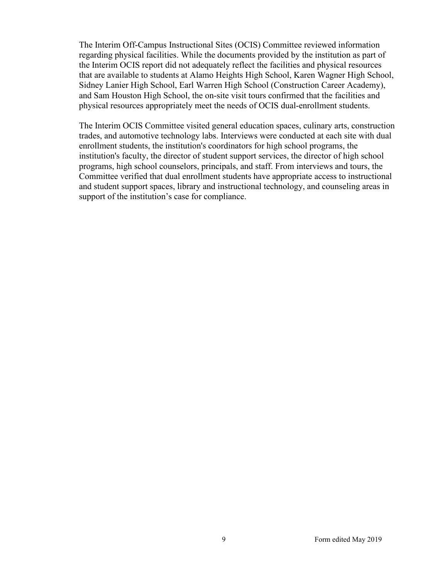The Interim Off-Campus Instructional Sites (OCIS) Committee reviewed information regarding physical facilities. While the documents provided by the institution as part of the Interim OCIS report did not adequately reflect the facilities and physical resources that are available to students at Alamo Heights High School, Karen Wagner High School, Sidney Lanier High School, Earl Warren High School (Construction Career Academy), and Sam Houston High School, the on-site visit tours confirmed that the facilities and physical resources appropriately meet the needs of OCIS dual-enrollment students.

The Interim OCIS Committee visited general education spaces, culinary arts, construction trades, and automotive technology labs. Interviews were conducted at each site with dual enrollment students, the institution's coordinators for high school programs, the institution's faculty, the director of student support services, the director of high school programs, high school counselors, principals, and staff. From interviews and tours, the Committee verified that dual enrollment students have appropriate access to instructional and student support spaces, library and instructional technology, and counseling areas in support of the institution's case for compliance.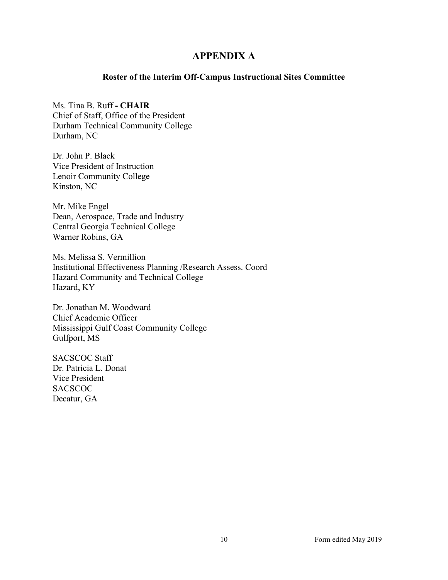### **APPENDIX A**

#### **Roster of the Interim Off-Campus Instructional Sites Committee**

Ms. Tina B. Ruff **- CHAIR** Chief of Staff, Office of the President Durham Technical Community College Durham, NC

Dr. John P. Black Vice President of Instruction Lenoir Community College Kinston, NC

Mr. Mike Engel Dean, Aerospace, Trade and Industry Central Georgia Technical College Warner Robins, GA

Ms. Melissa S. Vermillion Institutional Effectiveness Planning /Research Assess. Coord Hazard Community and Technical College Hazard, KY

Dr. Jonathan M. Woodward Chief Academic Officer Mississippi Gulf Coast Community College Gulfport, MS

SACSCOC Staff Dr. Patricia L. Donat Vice President **SACSCOC** Decatur, GA